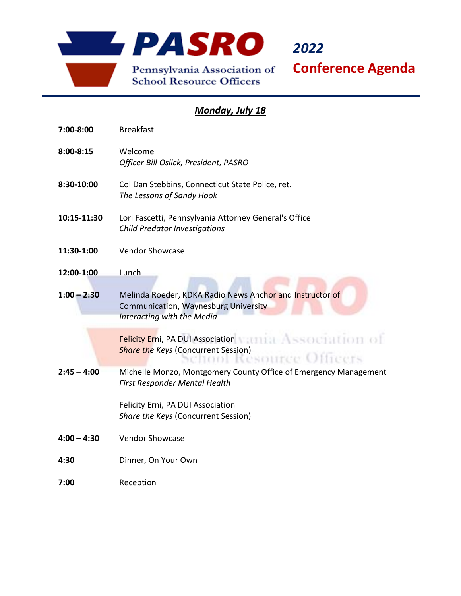

*2022* **Conference Agenda**

## *Monday, July 18*

| 7:00-8:00     | <b>Breakfast</b>                                                                                                               |
|---------------|--------------------------------------------------------------------------------------------------------------------------------|
| $8:00 - 8:15$ | Welcome<br>Officer Bill Oslick, President, PASRO                                                                               |
| 8:30-10:00    | Col Dan Stebbins, Connecticut State Police, ret.<br>The Lessons of Sandy Hook                                                  |
| 10:15-11:30   | Lori Fascetti, Pennsylvania Attorney General's Office<br><b>Child Predator Investigations</b>                                  |
| 11:30-1:00    | <b>Vendor Showcase</b>                                                                                                         |
| 12:00-1:00    | Lunch                                                                                                                          |
| $1:00 - 2:30$ | Melinda Roeder, KDKA Radio News Anchor and Instructor of<br>Communication, Waynesburg University<br>Interacting with the Media |
|               | ssociatio<br><b>Felicity Erni, PA DUI Association</b><br><b>Share the Keys (Concurrent Session)</b>                            |
| $2:45 - 4:00$ | Michelle Monzo, Montgomery County Office of Emergency Management<br>First Responder Mental Health                              |
|               | Felicity Erni, PA DUI Association<br>Share the Keys (Concurrent Session)                                                       |
| $4:00 - 4:30$ | <b>Vendor Showcase</b>                                                                                                         |
| 4:30          | Dinner, On Your Own                                                                                                            |
| 7:00          | Reception                                                                                                                      |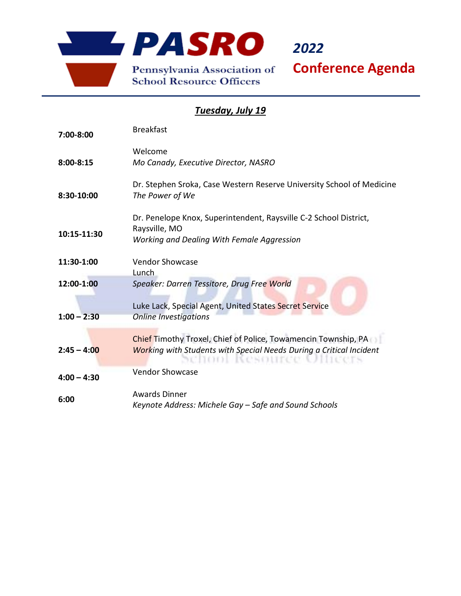

*2022*

**Conference Agenda**

## *Tuesday, July 19*

| 7:00-8:00     | <b>Breakfast</b>                                                                                                                                            |
|---------------|-------------------------------------------------------------------------------------------------------------------------------------------------------------|
| $8:00 - 8:15$ | Welcome<br>Mo Canady, Executive Director, NASRO                                                                                                             |
| 8:30-10:00    | Dr. Stephen Sroka, Case Western Reserve University School of Medicine<br>The Power of We                                                                    |
| 10:15-11:30   | Dr. Penelope Knox, Superintendent, Raysville C-2 School District,<br>Raysville, MO<br>Working and Dealing With Female Aggression                            |
| 11:30-1:00    | <b>Vendor Showcase</b><br>Lunch                                                                                                                             |
| 12:00-1:00    | Speaker: Darren Tessitore, Drug Free World<br>Luke Lack, Special Agent, United States Secret Service                                                        |
| $1:00 - 2:30$ | <b>Online Investigations</b>                                                                                                                                |
| $2:45 - 4:00$ | Chief Timothy Troxel, Chief of Police, Towamencin Township, PA<br><b>Working with Students with Special Needs During a Critical Incident</b><br>TENDRIC CO. |
| $4:00 - 4:30$ | <b>Vendor Showcase</b>                                                                                                                                      |
| 6:00          | <b>Awards Dinner</b><br>Keynote Address: Michele Gay - Safe and Sound Schools                                                                               |